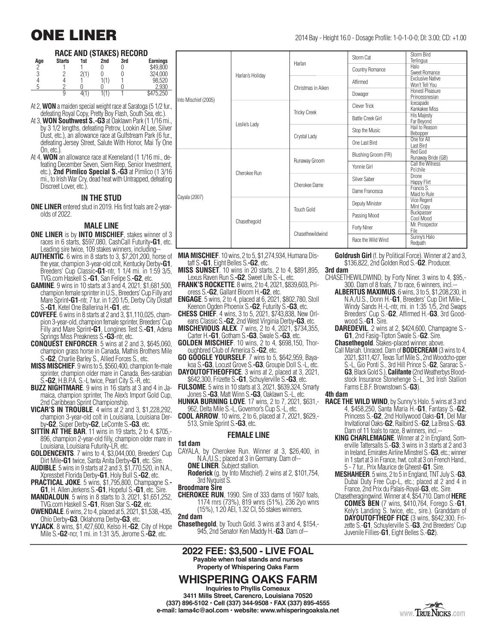## **RACE AND (STAKES) RECORD**

| Age    | <b>Starts</b> | 1st | 2nd | 3rd | <b>Earnings</b> |
|--------|---------------|-----|-----|-----|-----------------|
| ∩      |               |     |     |     | \$49.800        |
| n<br>w |               | (1  |     |     | 324,000         |
|        |               |     |     |     | 98.520          |
|        |               |     |     |     |                 |
|        | 9             |     |     |     | \$475,250       |

- At 2, **WON** a maiden special weight race at Saratoga (5 1/2 fur., defeating Royal Copy, Pretty Boy Flash, South Sea, etc.).
- At 3, **WON Southwest S.-G3** at Oaklawn Park (1 1/16 mi., by 3 1/2 lengths, defeating Petrov, Lookin At Lee, Silver Dust, etc.), an allowance race at Gulfstream Park (6 fur., defeating Jersey Street, Salute With Honor, Mai Ty One  $On$  etc.)
- At 4, **WON** an allowance race at Keeneland (1 1/16 mi., defeating December Seven, Siem Riep, Senior Investment, etc.), **2nd Pimlico Special S.-G3** at Pimlico (1 3/16 mi., to Irish War Cry, dead heat with Untrapped, defeating Discreet Lover, etc.).

## **IN THE STUD**

**ONE LINER** entered stud in 2019. His first foals are 2-yearolds of 2022.

## **MALE LINE**

- **ONE LINER** is by **INTO MISCHIEF**, stakes winner of 3 races in 6 starts, \$597,080, CashCall Futurity**-G1**, etc. Leading sire twice, 109 stakes winners, including--
- **AUTHENTIC**. 6 wins in 8 starts to 3, \$7,201,200, horse of the year, champion 3-year-old colt, Kentucky Derby**-G1**, Breeders' Cup Classic**-G1**-ntr, 1 1/4 mi. in 1:59 3/5, TVG.com Haskell S.**-G1**, San Felipe S.**-G2**, etc.
- **GAMINE**. 9 wins in 10 starts at 3 and 4, 2021, \$1,681,500, champion female sprinter in U.S., Breeders' Cup Filly and Mare Sprint**-G1**-ntr, 7 fur. in 1:20 1/5, Derby City Distaff S.**-G1**, Ketel One Ballerina H.**-G1**, etc.
- **COVFEFE**. 6 wins in 8 starts at 2 and 3, \$1,110,025, champion 3-year-old, champion female sprinter, Breeders' Cup Filly and Mare Sprint**-G1**, Longines Test S.**-G1**, Adena Springs Miss Preakness S.**-G3**-ntr, etc.
- **CONQUEST ENFORCER**. 5 wins at 2 and 3, \$645,060, champion grass horse in Canada, Mathis Brothers Mile S.**-G2**, Charlie Barley S., Allied Forces S., etc.
- **MISS MISCHIEF**. 9 wins to 5, \$560,400, champion fe-male sprinter, champion older mare in Canada, Bes-sarabian S.**-G2**, H.B.P.A. S.-L twice, Pearl City S.-R, etc.
- **BUZZ NIGHTMARE**. 9 wins in 16 starts at 3 and 4 in Jamaica, champion sprinter, The Alex's Import Gold Cup, 2nd Caribbean Sprint Championship.
- **VICAR'S IN TROUBLE**. 4 wins at 2 and 3, \$1,228,292, champion 3-year-old colt in Louisiana, Louisiana Derby**-G2**, Super Derby**-G2**, LeComte S.**-G3**, etc.
- **SITTIN AT THE BAR.** 11 wins in 19 starts, 2 to 4, \$705,-896, champion 2-year-old filly, champion older mare in Louisiana, Louisiana Futurity-LR, etc.
- **GOLDENCENTS**. 7 wins to 4, \$3,044,000, Breeders' Cup Dirt Mile**-G1** twice, Santa Anita Derby**-G1**, etc. Sire.
- **AUDIBLE**. 5 wins in 9 starts at 2 and 3, \$1,770,520, in N.A., Xpressbet Florida Derby**-G1**, Holy Bull S.**-G2**, etc.
- **PRACTICAL JOKE**. 5 wins, \$1,795,800, Champagne S.**- G1**, H. Allen Jerkens S.**-G1**, Hopeful S.**-G1**, etc. Sire.
- **MANDALOUN**. 5 wins in 8 starts to 3, 2021, \$1,651,252, TVG.com Haskell S.**-G1**, Risen Star S.**-G2**, etc.
- **OWENDALE**. 6 wins, 2 to 4, placed at 5, 2021, \$1,538,-435, Ohio Derby**-G3**, Oklahoma Derby**-G3**, etc.
- **VYJACK**. 8 wins, \$1,427,600, Kelso H.**-G2**, City of Hope Mile S.**-G2**-ncr, 1 mi. in 1:31 3/5, Jerome S.**-G2**, etc.

|                      | Harlan's Holiday |                     | Storm Cat                | Storm Bird<br>Terlingua                   |
|----------------------|------------------|---------------------|--------------------------|-------------------------------------------|
|                      |                  | Harlan              | Country Romance          | Halo<br>Sweet Romance                     |
|                      |                  | Christmas in Aiken  | Affirmed                 | <b>Exclusive Native</b><br>Won't Tell You |
|                      |                  |                     | Dowager                  | <b>Honest Pleasure</b><br>Princessnesian  |
| Into Mischief (2005) | Leslie's Lady    | <b>Tricky Creek</b> | Clever Trick             | Icecapade<br>Kankakee Miss                |
|                      |                  |                     | <b>Battle Creek Girl</b> | <b>His Majesty</b><br>Far Beyond          |
|                      |                  | Crystal Lady        | Stop the Music           | Hail to Reason<br>Bebopper                |
|                      |                  |                     | One Last Bird            | One for All<br>Last Bird                  |
|                      | Cherokee Run     | Runaway Groom       | Blushing Groom (FR)      | Red God<br>Runaway Bride (GB)             |
|                      |                  |                     | Yonnie Girl              | Call the Witness<br>Po'chile              |
|                      |                  | Cherokee Dame       | Silver Saber             | Drone<br>Happy Flirt                      |
| Cayala (2007)        |                  |                     | Dame Francesca           | Francis S.<br>Maid to Rule                |
|                      | Chasethegold     | <b>Touch Gold</b>   | Deputy Minister          | Vice Regent<br>Mint Copy                  |
|                      |                  |                     | Passing Mood             | Buckpasser<br>Cool Mood                   |
|                      |                  | Chasethewildwind    | Forty Niner              | Mr. Prospector<br>File                    |
|                      |                  |                     | Race the Wild Wind       | Sunny's Halo<br>Redpath                   |

- **MIA MISCHIEF.** 10 wins, 2 to 5, \$1,274,934, Humana Distaff S.**-G1**, Eight Belles S.**-G2**, etc.
- **MISS SUNSET**. 10 wins in 20 starts, 2 to 4, \$891,895, Lexus Raven Run S.**-G2**, Sweet Life S.-L, etc.
- **FRANK'S ROCKETTE**. 8 wins, 2 to 4, 2021, \$839,603, Prioress S.**-G2**, Gallant Bloom H.**-G2**, etc.
- **ENGAGE**. 5 wins, 2 to 4, placed at 6, 2021, \$802,780, Stoll Keenon Ogden Phoenix S.**-G2**, Futurity S.**-G3**, etc.
- **CHESS CHIEF**. 4 wins, 3 to 5, 2021, \$743,838, New Orleans Classic S.**-G2**, 2nd West Virginia Derby**-G3**, etc.
- **MISCHEVIOUS ALEX**. 7 wins, 2 to 4, 2021, \$734,355, Carter H.**-G1**, Gotham S.**-G3**, Swale S.**-G3**, etc.
- **GOLDEN MISCHIEF**. 10 wins, 2 to 4, \$698,150, Thoroughbred Club of America S.**-G2**, etc.
- **GO GOOGLE YOURSELF**. 7 wins to 5, \$642,959, Bayakoa S.**-G3**, Locust Grove S.**-G3**, Groupie Doll S.-L, etc.
- **DAYOUTOFTHEOFFICE**. 3 wins at 2, placed at 3, 2021, \$642,300, Frizette S.**-G1**, Schuylerville S.**-G3**, etc.
- **FULSOME**. 5 wins in 10 starts at 3, 2021, \$639,324, Smarty Jones S.**-G3**, Matt Winn S.**-G3**, Oaklawn S.-L, etc.
- **HUNKA BURNING LOVE**. 17 wins, 2 to 7, 2021, \$631,- 962, Delta Mile S.-L, Governor's Cup S.-L, etc.
- **COOL ARROW**. 10 wins, 2 to 6, placed at 7, 2021, \$629,- 513, Smile Sprint S.**-G3**, etc.

## **FEMALE LINE**

#### **1st dam**

- CAYALA, by Cherokee Run. Winner at 3, \$26,400, in N.A./U.S.; placed at 3 in Germany. Dam of--
	- **ONE LINER.** Subject stallion.
	- **Roderick** (g. by Into Mischief). 2 wins at 2, \$101,754, 3rd Nyquist S.

## **Broodmare Sire**

- **CHEROKEE RUN**, 1990. Sire of 333 dams of 1607 foals, 1174 rnrs (73%), 819 wnrs (51%), 236 2yo wnrs (15%), 1.20 AEI, 1.32 CI, 55 stakes winners. **2nd dam**
- **Chasethegold**, by Touch Gold. 3 wins at 3 and 4, \$154,- 945, 2nd Senator Ken Maddy H.-**G3**. Dam of--

## **2022 FEE: \$3,500 - LIVE FOAL Payable when foal stands and nurses Property of Whispering Oaks Farm**

## **WHISPERING OAKS FARM**

**Inquiries to Phyllis Comeaux 3411 Mills Street, Carencro, Louisiana 70520 (337) 896-5102 • Cell (337) 344-9508 • FAX (337) 895-4555 e-mail: lama4c@aol.com • website: www.whisperingoaksla.net**

**Goldrush Girl** (f. by Political Force). Winner at 2 and 3, \$136,822, 2nd Golden Rod S.-**G2**. Producer.

## **3rd dam**

- CHASETHEWILDWIND, by Forty Niner. 3 wins to 4, \$95,- 300. Dam of 8 foals, 7 to race, 6 winners, incl.--
	- **ALBERTUS MAXIMUS**. 6 wins, 3 to 5, \$1,208,230, in N.A./U.S., Donn H.-**G1**, Breeders' Cup Dirt Mile-L, Windy Sands H.-L-ntr, mi. in 1:35 1/5, 2nd Swaps Breeders' Cup S.-**G2**, Affirmed H.-**G3**, 3rd Goodwood S.-**G1**. Sire.
	- **DAREDEVIL**. 2 wins at 2, \$424,600, Champagne S.- **G1**, 2nd Fasig-Tipton Swale S.-**G2**. Sire.
	- **Chasethegold**. Stakes-placed winner, above.
	- Call Mariah. Unraced. Dam of **BODECREAM** (3 wins to 4, 2021, \$311,427, Texas Turf Mile S., 2nd Woodcho-pper S.-L, Gio Ponti S., 3rd Hill Prince S.-**G2**, Saranac S.- **G3**, Black Gold S.), **Califante** (2nd Weatherbys Bloodstock Insurance Stonehenge S.-L, 3rd Irish Stallion Farms E.B.F. Brownstown S.-**G3**).

## **4th dam**

- **RACE THE WILD WIND**, by Sunny's Halo. 5 wins at 3 and 4, \$458,250, Santa Maria H.-**G1**, Fantasy S.-**G2**, Princess S.-**G2**, 2nd Hollywood Oaks-**G1**, Del Mar Invitational Oaks-**G2**, Railbird S.-**G2**, La Brea S.-**G3**. Dam of 11 foals to race, 8 winners, incl.-
	- **KING CHARLEMAGNE**. Winner at 2 in England, Somerville Tattersalls S.-**G3**; 3 wins in 3 starts at 2 and 3 in Ireland, Emirates Airline Minstrel S.-**G3**, etc.; winner in 1 start at 3 in France, hwt. colt at 3 on French Hand., 5 - 7 fur., Prix Maurice de Gheest-**G1**. Sire.
	- **MESHAHEER**. 5 wins, 2 to 5 in England, TNT July S.-**G3**, Dubai Duty Free Cup-L, etc.; placed at 2 and 4 in France, 2nd Prix du Palais-Royal-**G3**, etc. Sire.
	- Chasetheragingwind. Winner at 4, \$54,710. Dam of **HERE COMES BEN** (7 wins, \$410,764, Forego S.-**G1**, Kely's Landing S. twice, etc., sire.). Granddam of **DAYOUTOFTHEOF FICE** (3 wins, \$642,300, Frizette S.-**G1**, Schuylerville S.-**G3**, 2nd Breeders' Cup Juvenile Fillies-**G1**, Eight Belles S.-**G2**).